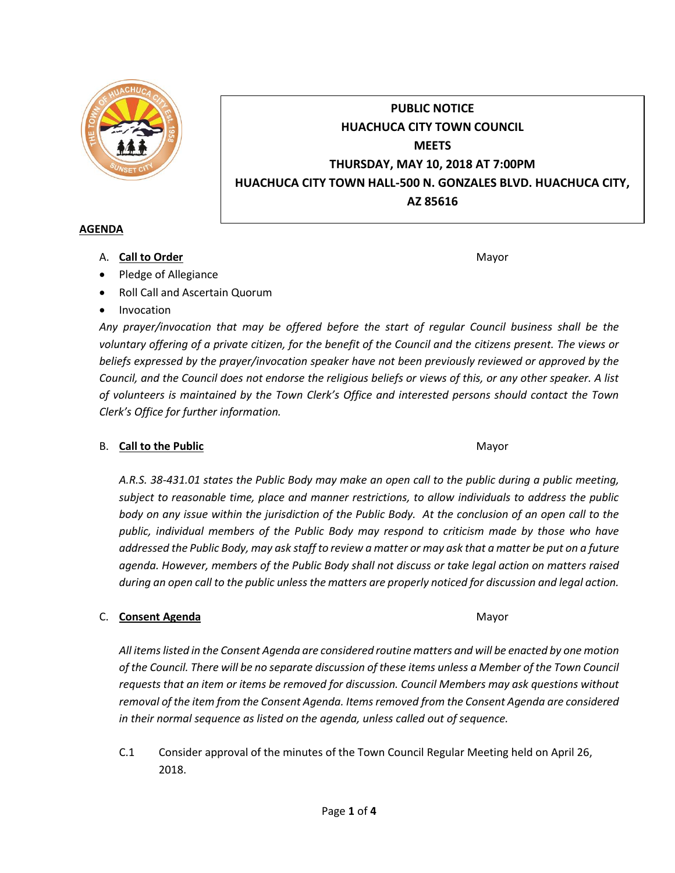

# **PUBLIC NOTICE HUACHUCA CITY TOWN COUNCIL MEETS THURSDAY, MAY 10, 2018 AT 7:00PM HUACHUCA CITY TOWN HALL-500 N. GONZALES BLVD. HUACHUCA CITY, AZ 85616**

### **AGENDA**

A. **Call to Order** Mayor **Mayor** Mayor **Mayor** Mayor **Mayor** 

- Pledge of Allegiance
- Roll Call and Ascertain Quorum
- Invocation

*Any prayer/invocation that may be offered before the start of regular Council business shall be the voluntary offering of a private citizen, for the benefit of the Council and the citizens present. The views or beliefs expressed by the prayer/invocation speaker have not been previously reviewed or approved by the Council, and the Council does not endorse the religious beliefs or views of this, or any other speaker. A list of volunteers is maintained by the Town Clerk's Office and interested persons should contact the Town Clerk's Office for further information.*

## B. **Call to the Public** Mayor **Mayor** Mayor **Mayor**

*A.R.S. 38-431.01 states the Public Body may make an open call to the public during a public meeting, subject to reasonable time, place and manner restrictions, to allow individuals to address the public body on any issue within the jurisdiction of the Public Body. At the conclusion of an open call to the public, individual members of the Public Body may respond to criticism made by those who have addressed the Public Body, may ask staff to review a matter or may ask that a matter be put on a future agenda. However, members of the Public Body shall not discuss or take legal action on matters raised during an open call to the public unless the matters are properly noticed for discussion and legal action.*

## C. **Consent Agenda** Mayor **C. Consent Agenda** Mayor

*All items listed in the Consent Agenda are considered routine matters and will be enacted by one motion of the Council. There will be no separate discussion of these items unless a Member of the Town Council requests that an item or items be removed for discussion. Council Members may ask questions without removal of the item from the Consent Agenda. Items removed from the Consent Agenda are considered in their normal sequence as listed on the agenda, unless called out of sequence.*

C.1 Consider approval of the minutes of the Town Council Regular Meeting held on April 26, 2018.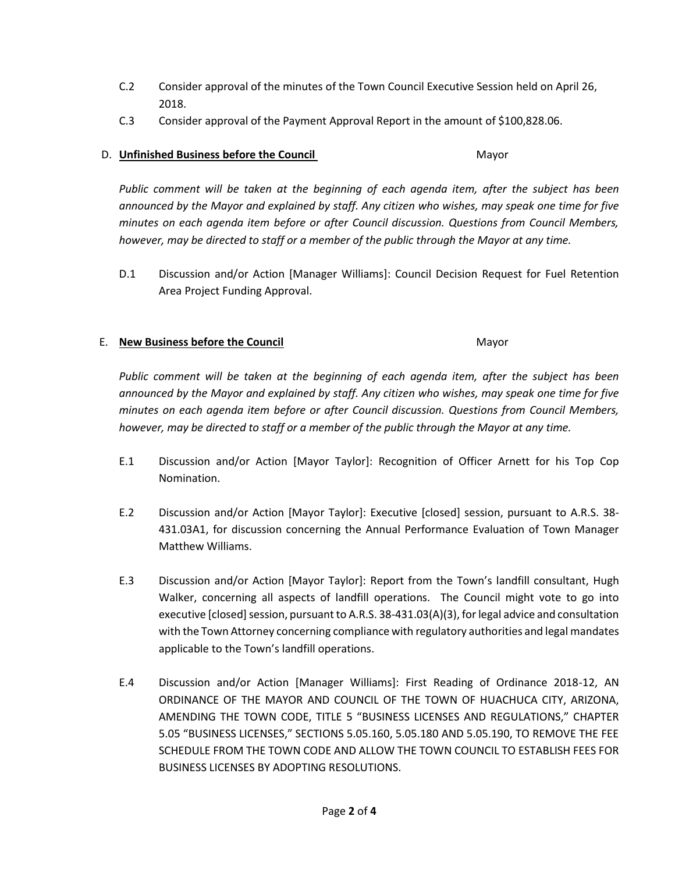- C.2 Consider approval of the minutes of the Town Council Executive Session held on April 26, 2018.
- C.3 Consider approval of the Payment Approval Report in the amount of \$100,828.06.

## D. **Unfinished Business before the Council** Mayor

*Public comment will be taken at the beginning of each agenda item, after the subject has been announced by the Mayor and explained by staff. Any citizen who wishes, may speak one time for five minutes on each agenda item before or after Council discussion. Questions from Council Members, however, may be directed to staff or a member of the public through the Mayor at any time.*

D.1 Discussion and/or Action [Manager Williams]: Council Decision Request for Fuel Retention Area Project Funding Approval.

### E. **New Business before the Council** Mayor

*Public comment will be taken at the beginning of each agenda item, after the subject has been announced by the Mayor and explained by staff. Any citizen who wishes, may speak one time for five minutes on each agenda item before or after Council discussion. Questions from Council Members, however, may be directed to staff or a member of the public through the Mayor at any time.*

- E.1 Discussion and/or Action [Mayor Taylor]: Recognition of Officer Arnett for his Top Cop Nomination.
- E.2 Discussion and/or Action [Mayor Taylor]: Executive [closed] session, pursuant to A.R.S. 38- 431.03A1, for discussion concerning the Annual Performance Evaluation of Town Manager Matthew Williams.
- E.3 Discussion and/or Action [Mayor Taylor]: Report from the Town's landfill consultant, Hugh Walker, concerning all aspects of landfill operations. The Council might vote to go into executive [closed] session, pursuant to A.R.S. 38-431.03(A)(3), for legal advice and consultation with the Town Attorney concerning compliance with regulatory authorities and legal mandates applicable to the Town's landfill operations.
- E.4 Discussion and/or Action [Manager Williams]: First Reading of Ordinance 2018-12, AN ORDINANCE OF THE MAYOR AND COUNCIL OF THE TOWN OF HUACHUCA CITY, ARIZONA, AMENDING THE TOWN CODE, TITLE 5 "BUSINESS LICENSES AND REGULATIONS," CHAPTER 5.05 "BUSINESS LICENSES," SECTIONS 5.05.160, 5.05.180 AND 5.05.190, TO REMOVE THE FEE SCHEDULE FROM THE TOWN CODE AND ALLOW THE TOWN COUNCIL TO ESTABLISH FEES FOR BUSINESS LICENSES BY ADOPTING RESOLUTIONS.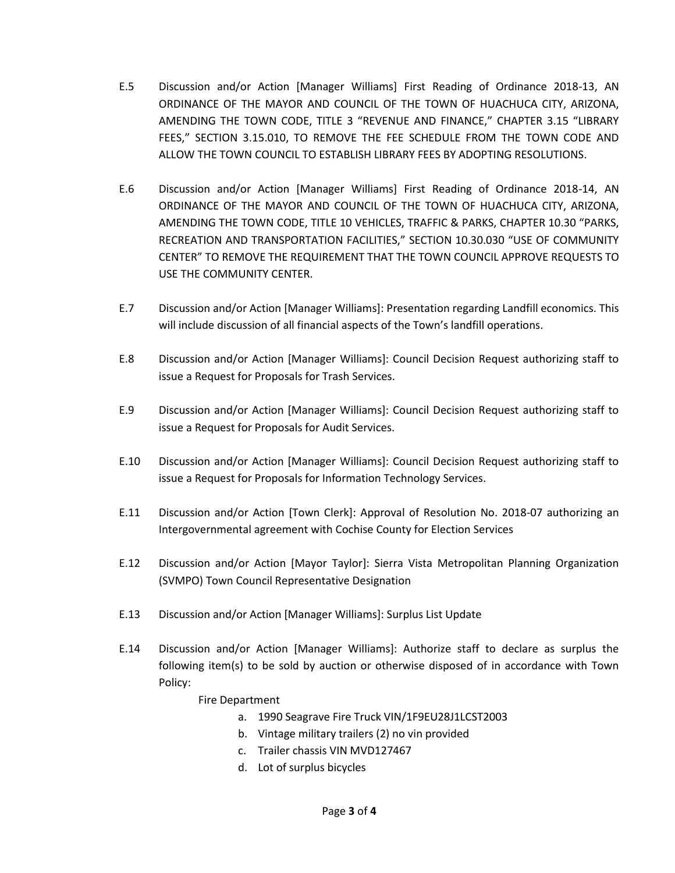- E.5 Discussion and/or Action [Manager Williams] First Reading of Ordinance 2018-13, AN ORDINANCE OF THE MAYOR AND COUNCIL OF THE TOWN OF HUACHUCA CITY, ARIZONA, AMENDING THE TOWN CODE, TITLE 3 "REVENUE AND FINANCE," CHAPTER 3.15 "LIBRARY FEES," SECTION 3.15.010, TO REMOVE THE FEE SCHEDULE FROM THE TOWN CODE AND ALLOW THE TOWN COUNCIL TO ESTABLISH LIBRARY FEES BY ADOPTING RESOLUTIONS.
- E.6 Discussion and/or Action [Manager Williams] First Reading of Ordinance 2018-14, AN ORDINANCE OF THE MAYOR AND COUNCIL OF THE TOWN OF HUACHUCA CITY, ARIZONA, AMENDING THE TOWN CODE, TITLE 10 VEHICLES, TRAFFIC & PARKS, CHAPTER 10.30 "PARKS, RECREATION AND TRANSPORTATION FACILITIES," SECTION 10.30.030 "USE OF COMMUNITY CENTER" TO REMOVE THE REQUIREMENT THAT THE TOWN COUNCIL APPROVE REQUESTS TO USE THE COMMUNITY CENTER.
- E.7 Discussion and/or Action [Manager Williams]: Presentation regarding Landfill economics. This will include discussion of all financial aspects of the Town's landfill operations.
- E.8 Discussion and/or Action [Manager Williams]: Council Decision Request authorizing staff to issue a Request for Proposals for Trash Services.
- E.9 Discussion and/or Action [Manager Williams]: Council Decision Request authorizing staff to issue a Request for Proposals for Audit Services.
- E.10 Discussion and/or Action [Manager Williams]: Council Decision Request authorizing staff to issue a Request for Proposals for Information Technology Services.
- E.11 Discussion and/or Action [Town Clerk]: Approval of Resolution No. 2018-07 authorizing an Intergovernmental agreement with Cochise County for Election Services
- E.12 Discussion and/or Action [Mayor Taylor]: Sierra Vista Metropolitan Planning Organization (SVMPO) Town Council Representative Designation
- E.13 Discussion and/or Action [Manager Williams]: Surplus List Update
- E.14 Discussion and/or Action [Manager Williams]: Authorize staff to declare as surplus the following item(s) to be sold by auction or otherwise disposed of in accordance with Town Policy:

Fire Department

- a. 1990 Seagrave Fire Truck VIN/1F9EU28J1LCST2003
- b. Vintage military trailers (2) no vin provided
- c. Trailer chassis VIN MVD127467
- d. Lot of surplus bicycles